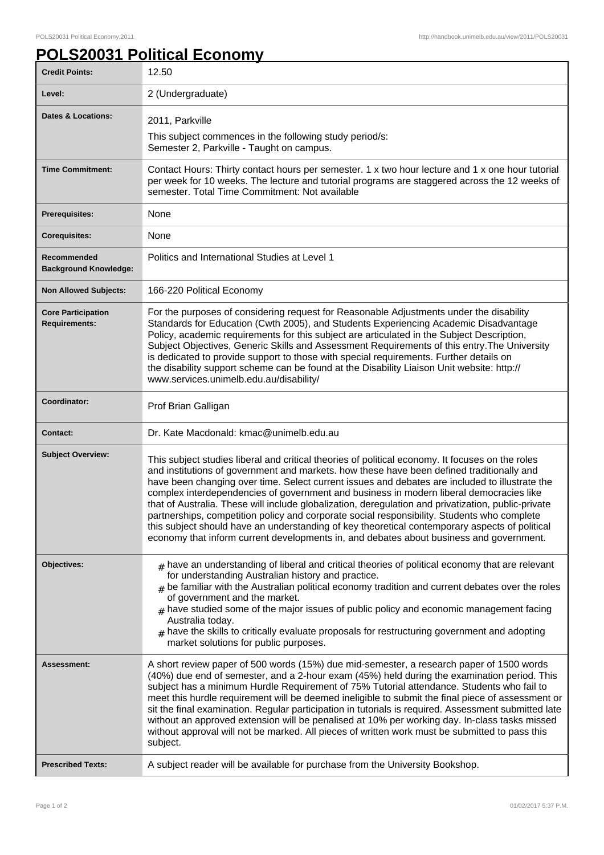## **POLS20031 Political Economy**

| <b>Credit Points:</b>                             | 12.50                                                                                                                                                                                                                                                                                                                                                                                                                                                                                                                                                                                                                                                                                                                                                                                             |
|---------------------------------------------------|---------------------------------------------------------------------------------------------------------------------------------------------------------------------------------------------------------------------------------------------------------------------------------------------------------------------------------------------------------------------------------------------------------------------------------------------------------------------------------------------------------------------------------------------------------------------------------------------------------------------------------------------------------------------------------------------------------------------------------------------------------------------------------------------------|
| Level:                                            | 2 (Undergraduate)                                                                                                                                                                                                                                                                                                                                                                                                                                                                                                                                                                                                                                                                                                                                                                                 |
| <b>Dates &amp; Locations:</b>                     | 2011, Parkville                                                                                                                                                                                                                                                                                                                                                                                                                                                                                                                                                                                                                                                                                                                                                                                   |
|                                                   | This subject commences in the following study period/s:<br>Semester 2, Parkville - Taught on campus.                                                                                                                                                                                                                                                                                                                                                                                                                                                                                                                                                                                                                                                                                              |
| <b>Time Commitment:</b>                           | Contact Hours: Thirty contact hours per semester. 1 x two hour lecture and 1 x one hour tutorial<br>per week for 10 weeks. The lecture and tutorial programs are staggered across the 12 weeks of<br>semester. Total Time Commitment: Not available                                                                                                                                                                                                                                                                                                                                                                                                                                                                                                                                               |
| <b>Prerequisites:</b>                             | None                                                                                                                                                                                                                                                                                                                                                                                                                                                                                                                                                                                                                                                                                                                                                                                              |
| <b>Corequisites:</b>                              | None                                                                                                                                                                                                                                                                                                                                                                                                                                                                                                                                                                                                                                                                                                                                                                                              |
| Recommended<br><b>Background Knowledge:</b>       | Politics and International Studies at Level 1                                                                                                                                                                                                                                                                                                                                                                                                                                                                                                                                                                                                                                                                                                                                                     |
| <b>Non Allowed Subjects:</b>                      | 166-220 Political Economy                                                                                                                                                                                                                                                                                                                                                                                                                                                                                                                                                                                                                                                                                                                                                                         |
| <b>Core Participation</b><br><b>Requirements:</b> | For the purposes of considering request for Reasonable Adjustments under the disability<br>Standards for Education (Cwth 2005), and Students Experiencing Academic Disadvantage<br>Policy, academic requirements for this subject are articulated in the Subject Description,<br>Subject Objectives, Generic Skills and Assessment Requirements of this entry. The University<br>is dedicated to provide support to those with special requirements. Further details on<br>the disability support scheme can be found at the Disability Liaison Unit website: http://<br>www.services.unimelb.edu.au/disability/                                                                                                                                                                                  |
| Coordinator:                                      | Prof Brian Galligan                                                                                                                                                                                                                                                                                                                                                                                                                                                                                                                                                                                                                                                                                                                                                                               |
|                                                   |                                                                                                                                                                                                                                                                                                                                                                                                                                                                                                                                                                                                                                                                                                                                                                                                   |
| <b>Contact:</b>                                   | Dr. Kate Macdonald: kmac@unimelb.edu.au                                                                                                                                                                                                                                                                                                                                                                                                                                                                                                                                                                                                                                                                                                                                                           |
| <b>Subject Overview:</b>                          | This subject studies liberal and critical theories of political economy. It focuses on the roles<br>and institutions of government and markets. how these have been defined traditionally and<br>have been changing over time. Select current issues and debates are included to illustrate the<br>complex interdependencies of government and business in modern liberal democracies like<br>that of Australia. These will include globalization, deregulation and privatization, public-private<br>partnerships, competition policy and corporate social responsibility. Students who complete<br>this subject should have an understanding of key theoretical contemporary aspects of political<br>economy that inform current developments in, and debates about business and government.     |
| Objectives:                                       | $#$ have an understanding of liberal and critical theories of political economy that are relevant<br>for understanding Australian history and practice.<br>be familiar with the Australian political economy tradition and current debates over the roles<br>#<br>of government and the market.<br>$#$ have studied some of the major issues of public policy and economic management facing<br>Australia today.<br>$#$ have the skills to critically evaluate proposals for restructuring government and adopting<br>market solutions for public purposes.                                                                                                                                                                                                                                       |
| Assessment:<br><b>Prescribed Texts:</b>           | A short review paper of 500 words (15%) due mid-semester, a research paper of 1500 words<br>(40%) due end of semester, and a 2-hour exam (45%) held during the examination period. This<br>subject has a minimum Hurdle Requirement of 75% Tutorial attendance. Students who fail to<br>meet this hurdle requirement will be deemed ineligible to submit the final piece of assessment or<br>sit the final examination. Regular participation in tutorials is required. Assessment submitted late<br>without an approved extension will be penalised at 10% per working day. In-class tasks missed<br>without approval will not be marked. All pieces of written work must be submitted to pass this<br>subject.<br>A subject reader will be available for purchase from the University Bookshop. |